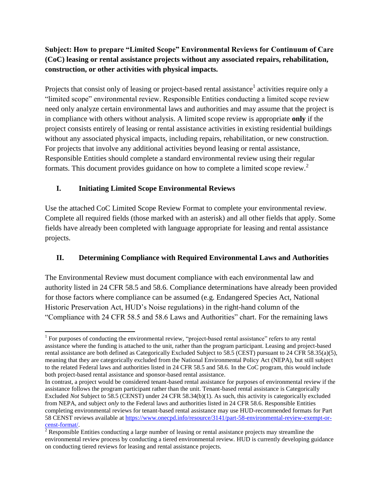## **Subject: How to prepare "Limited Scope" Environmental Reviews for Continuum of Care (CoC) leasing or rental assistance projects without any associated repairs, rehabilitation, construction, or other activities with physical impacts.**

Projects that consist only of leasing or project-based rental assistance<sup>1</sup> activities require only a "limited scope" environmental review. Responsible Entities conducting a limited scope review need only analyze certain environmental laws and authorities and may assume that the project is in compliance with others without analysis. A limited scope review is appropriate **only** if the project consists entirely of leasing or rental assistance activities in existing residential buildings without any associated physical impacts, including repairs, rehabilitation, or new construction. For projects that involve any additional activities beyond leasing or rental assistance, Responsible Entities should complete a standard environmental review using their regular formats. This document provides guidance on how to complete a limited scope review.<sup>2</sup>

## **I. Initiating Limited Scope Environmental Reviews**

Use the attached CoC Limited Scope Review Format to complete your environmental review. Complete all required fields (those marked with an asterisk) and all other fields that apply. Some fields have already been completed with language appropriate for leasing and rental assistance projects.

# **II. Determining Compliance with Required Environmental Laws and Authorities**

The Environmental Review must document compliance with each environmental law and authority listed in 24 CFR 58.5 and 58.6. Compliance determinations have already been provided for those factors where compliance can be assumed (e.g. Endangered Species Act, National Historic Preservation Act, HUD's Noise regulations) in the right-hand column of the "Compliance with 24 CFR 58.5 and 58.6 Laws and Authorities" chart. For the remaining laws

 $\overline{\phantom{a}}$ <sup>1</sup> For purposes of conducting the environmental review, "project-based rental assistance" refers to any rental assistance where the funding is attached to the unit, rather than the program participant. Leasing and project-based rental assistance are both defined as Categorically Excluded Subject to 58.5 (CEST) pursuant to 24 CFR 58.35(a)(5), meaning that they are categorically excluded from the National Environmental Policy Act (NEPA), but still subject to the related Federal laws and authorities listed in 24 CFR 58.5 and 58.6. In the CoC program, this would include both project-based rental assistance and sponsor-based rental assistance.

In contrast, a project would be considered tenant-based rental assistance for purposes of environmental review if the assistance follows the program participant rather than the unit. Tenant-based rental assistance is Categorically Excluded *Not* Subject to 58.5 (CENST) under 24 CFR 58.34(b)(1). As such, this activity is categorically excluded from NEPA, and subject *only* to the Federal laws and authorities listed in 24 CFR 58.6. Responsible Entities completing environmental reviews for tenant-based rental assistance may use HUD-recommended formats for Part 58 CENST reviews available a[t https://www.onecpd.info/resource/3141/part-58-environmental-review-exempt-or](https://www.onecpd.info/resource/3141/part-58-environmental-review-exempt-or-censt-format/)[censt-format/.](https://www.onecpd.info/resource/3141/part-58-environmental-review-exempt-or-censt-format/) 

 $2^{2}$  Responsible Entities conducting a large number of leasing or rental assistance projects may streamline the environmental review process by conducting a tiered environmental review. HUD is currently developing guidance on conducting tiered reviews for leasing and rental assistance projects.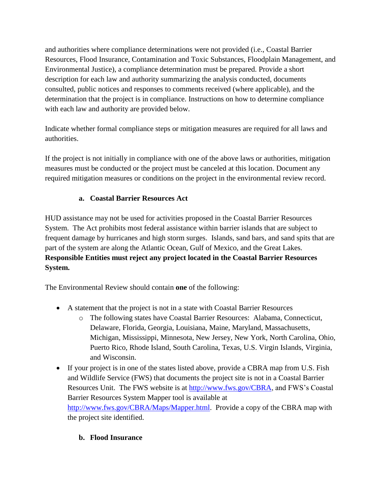and authorities where compliance determinations were not provided (i.e., Coastal Barrier Resources, Flood Insurance, Contamination and Toxic Substances, Floodplain Management, and Environmental Justice), a compliance determination must be prepared. Provide a short description for each law and authority summarizing the analysis conducted, documents consulted, public notices and responses to comments received (where applicable), and the determination that the project is in compliance. Instructions on how to determine compliance with each law and authority are provided below.

Indicate whether formal compliance steps or mitigation measures are required for all laws and authorities.

If the project is not initially in compliance with one of the above laws or authorities, mitigation measures must be conducted or the project must be canceled at this location. Document any required mitigation measures or conditions on the project in the environmental review record.

### **a. Coastal Barrier Resources Act**

HUD assistance may not be used for activities proposed in the Coastal Barrier Resources System. The Act prohibits most federal assistance within barrier islands that are subject to frequent damage by hurricanes and high storm surges. Islands, sand bars, and sand spits that are part of the system are along the Atlantic Ocean, Gulf of Mexico, and the Great Lakes. **Responsible Entities must reject any project located in the Coastal Barrier Resources System.**

The Environmental Review should contain **one** of the following:

- A statement that the project is not in a state with Coastal Barrier Resources
	- o The following states have Coastal Barrier Resources: Alabama, Connecticut, Delaware, Florida, Georgia, Louisiana, Maine, Maryland, Massachusetts, Michigan, Mississippi, Minnesota, New Jersey, New York, North Carolina, Ohio, Puerto Rico, Rhode Island, South Carolina, Texas, U.S. Virgin Islands, Virginia, and Wisconsin.
- If your project is in one of the states listed above, provide a CBRA map from U.S. Fish and Wildlife Service (FWS) that documents the project site is not in a Coastal Barrier Resources Unit. The FWS website is at [http://www.fws.gov/CBRA,](http://www.fws.gov/CBRA) and FWS's Coastal Barrier Resources System Mapper tool is available at [http://www.fws.gov/CBRA/Maps/Mapper.html.](http://www.fws.gov/CBRA/Maps/Mapper.html) Provide a copy of the CBRA map with the project site identified.

### **b. Flood Insurance**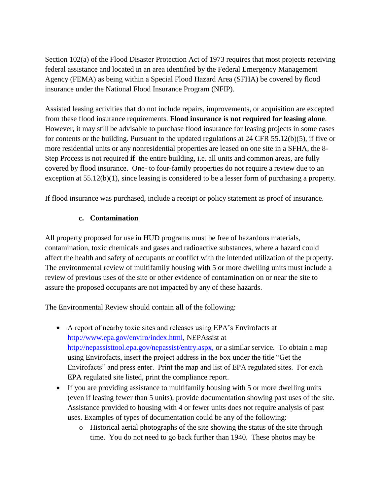Section 102(a) of the Flood Disaster Protection Act of 1973 requires that most projects receiving federal assistance and located in an area identified by the Federal Emergency Management Agency (FEMA) as being within a Special Flood Hazard Area (SFHA) be covered by flood insurance under the National Flood Insurance Program (NFIP).

Assisted leasing activities that do not include repairs, improvements, or acquisition are excepted from these flood insurance requirements. **Flood insurance is not required for leasing alone**. However, it may still be advisable to purchase flood insurance for leasing projects in some cases for contents or the building. Pursuant to the updated regulations at 24 CFR 55.12(b)(5), if five or more residential units or any nonresidential properties are leased on one site in a SFHA, the 8- Step Process is not required **if** the entire building, i.e. all units and common areas, are fully covered by flood insurance. One- to four-family properties do not require a review due to an exception at 55.12(b)(1), since leasing is considered to be a lesser form of purchasing a property.

If flood insurance was purchased, include a receipt or policy statement as proof of insurance.

#### **c. Contamination**

All property proposed for use in HUD programs must be free of hazardous materials, contamination, toxic chemicals and gases and radioactive substances, where a hazard could affect the health and safety of occupants or conflict with the intended utilization of the property. The environmental review of multifamily housing with 5 or more dwelling units must include a review of previous uses of the site or other evidence of contamination on or near the site to assure the proposed occupants are not impacted by any of these hazards.

The Environmental Review should contain **all** of the following:

- A report of nearby toxic sites and releases using EPA's Envirofacts at [http://www.epa.gov/enviro/index.html,](http://www.epa.gov/enviro/index.html) NEPAssist at http://nepassisttool.epa.gov/nepassist/entry.aspx, or a similar service. To obtain a map using Envirofacts, insert the project address in the box under the title "Get the Envirofacts" and press enter. Print the map and list of EPA regulated sites. For each EPA regulated site listed, print the compliance report.
- If you are providing assistance to multifamily housing with 5 or more dwelling units (even if leasing fewer than 5 units), provide documentation showing past uses of the site. Assistance provided to housing with 4 or fewer units does not require analysis of past uses. Examples of types of documentation could be any of the following:
	- o Historical aerial photographs of the site showing the status of the site through time. You do not need to go back further than 1940. These photos may be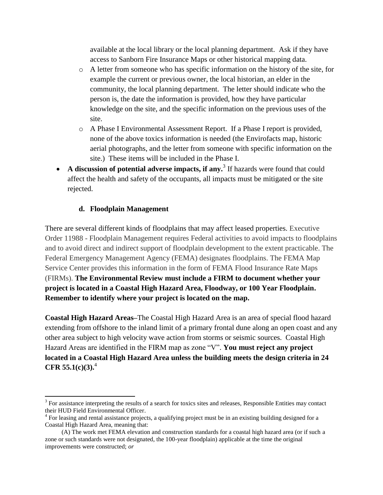available at the local library or the local planning department. Ask if they have access to Sanborn Fire Insurance Maps or other historical mapping data.

- o A letter from someone who has specific information on the history of the site, for example the current or previous owner, the local historian, an elder in the community, the local planning department. The letter should indicate who the person is, the date the information is provided, how they have particular knowledge on the site, and the specific information on the previous uses of the site.
- o A Phase I Environmental Assessment Report. If a Phase I report is provided, none of the above toxics information is needed (the Envirofacts map, historic aerial photographs, and the letter from someone with specific information on the site.) These items will be included in the Phase I.
- A discussion of potential adverse impacts, if any.<sup>3</sup> If hazards were found that could affect the health and safety of the occupants, all impacts must be mitigated or the site rejected.

### **d. Floodplain Management**

 $\overline{\phantom{a}}$ 

There are several different kinds of floodplains that may affect leased properties. Executive Order 11988 - Floodplain Management requires Federal activities to avoid impacts to floodplains and to avoid direct and indirect support of floodplain development to the extent practicable. The Federal Emergency Management Agency (FEMA) designates floodplains. The FEMA Map Service Center provides this information in the form of FEMA Flood Insurance Rate Maps (FIRMs). **The Environmental Review must include a FIRM to document whether your project is located in a Coastal High Hazard Area, Floodway, or 100 Year Floodplain. Remember to identify where your project is located on the map.**

**Coastal High Hazard Areas–**The Coastal High Hazard Area is an area of special flood hazard extending from offshore to the inland limit of a primary frontal dune along an open coast and any other area subject to high velocity wave action from storms or seismic sources. Coastal High Hazard Areas are identified in the FIRM map as zone "V". **You must reject any project located in a Coastal High Hazard Area unless the building meets the design criteria in 24 CFR 55.1(c)(3).**<sup>4</sup>

 $3$  For assistance interpreting the results of a search for toxics sites and releases, Responsible Entities may contact their HUD Field Environmental Officer.

<sup>&</sup>lt;sup>4</sup> For leasing and rental assistance projects, a qualifying project must be in an existing building designed for a Coastal High Hazard Area, meaning that:

<sup>(</sup>A) The work met FEMA elevation and construction standards for a coastal high hazard area (or if such a zone or such standards were not designated, the 100-year floodplain) applicable at the time the original improvements were constructed; *or*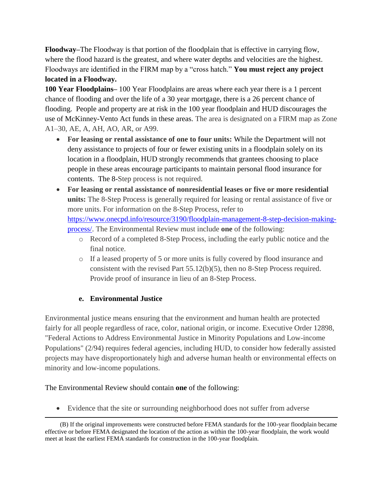**Floodway–**The Floodway is that portion of the floodplain that is effective in carrying flow, where the flood hazard is the greatest, and where water depths and velocities are the highest. Floodways are identified in the FIRM map by a "cross hatch." **You must reject any project located in a Floodway.**

**100 Year Floodplains–** 100 Year Floodplains are areas where each year there is a 1 percent chance of flooding and over the life of a 30 year mortgage, there is a 26 percent chance of flooding. People and property are at risk in the 100 year floodplain and HUD discourages the use of McKinney-Vento Act funds in these areas. The area is designated on a FIRM map as Zone A1–30, AE, A, AH, AO, AR, or A99.

- **For leasing or rental assistance of one to four units:** While the Department will not deny assistance to projects of four or fewer existing units in a floodplain solely on its location in a floodplain, HUD strongly recommends that grantees choosing to place people in these areas encourage participants to maintain personal flood insurance for contents. The 8-Step process is not required.
- **For leasing or rental assistance of nonresidential leases or five or more residential units:** The 8-Step Process is generally required for leasing or rental assistance of five or more units. For information on the 8-Step Process, refer to [https://www.onecpd.info/resource/3190/floodplain-management-8-step-decision-making](https://www.onecpd.info/resource/3190/floodplain-management-8-step-decision-making-process/)[process/.](https://www.onecpd.info/resource/3190/floodplain-management-8-step-decision-making-process/) The Environmental Review must include **one** of the following:
	- o Record of a completed 8-Step Process, including the early public notice and the final notice.
	- o If a leased property of 5 or more units is fully covered by flood insurance and consistent with the revised Part 55.12(b)(5), then no 8-Step Process required. Provide proof of insurance in lieu of an 8-Step Process.

### **e. Environmental Justice**

Environmental justice means ensuring that the environment and human health are protected fairly for all people regardless of race, color, national origin, or income. Executive Order 12898, "Federal Actions to Address Environmental Justice in Minority Populations and Low-income Populations" (2/94) requires federal agencies, including HUD, to consider how federally assisted projects may have disproportionately high and adverse human health or environmental effects on minority and low-income populations.

#### The Environmental Review should contain **one** of the following:

Evidence that the site or surrounding neighborhood does not suffer from adverse

 $\overline{\phantom{a}}$ (B) If the original improvements were constructed before FEMA standards for the 100-year floodplain became effective or before FEMA designated the location of the action as within the 100-year floodplain, the work would meet at least the earliest FEMA standards for construction in the 100-year floodplain.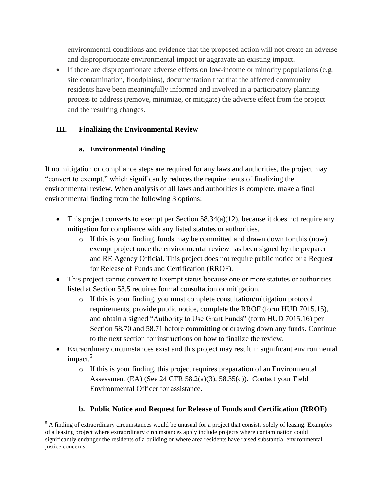environmental conditions and evidence that the proposed action will not create an adverse and disproportionate environmental impact or aggravate an existing impact.

 If there are disproportionate adverse effects on low-income or minority populations (e.g. site contamination, floodplains), documentation that that the affected community residents have been meaningfully informed and involved in a participatory planning process to address (remove, minimize, or mitigate) the adverse effect from the project and the resulting changes.

# **III. Finalizing the Environmental Review**

# **a. Environmental Finding**

If no mitigation or compliance steps are required for any laws and authorities, the project may "convert to exempt," which significantly reduces the requirements of finalizing the environmental review. When analysis of all laws and authorities is complete, make a final environmental finding from the following 3 options:

- This project converts to exempt per Section  $58.34(a)(12)$ , because it does not require any mitigation for compliance with any listed statutes or authorities.
	- $\circ$  If this is your finding, funds may be committed and drawn down for this (now) exempt project once the environmental review has been signed by the preparer and RE Agency Official. This project does not require public notice or a Request for Release of Funds and Certification (RROF).
- This project cannot convert to Exempt status because one or more statutes or authorities listed at Section 58.5 requires formal consultation or mitigation.
	- o If this is your finding, you must complete consultation/mitigation protocol requirements, provide public notice, complete the RROF (form HUD 7015.15), and obtain a signed "Authority to Use Grant Funds" (form HUD 7015.16) per Section 58.70 and 58.71 before committing or drawing down any funds. Continue to the next section for instructions on how to finalize the review.
- Extraordinary circumstances exist and this project may result in significant environmental impact.<sup>5</sup>
	- o If this is your finding, this project requires preparation of an Environmental Assessment (EA) (See 24 CFR 58.2(a)(3), 58.35(c)). Contact your Field Environmental Officer for assistance.

# **b. Public Notice and Request for Release of Funds and Certification (RROF)**

 $\overline{\phantom{a}}$ <sup>5</sup> A finding of extraordinary circumstances would be unusual for a project that consists solely of leasing. Examples of a leasing project where extraordinary circumstances apply include projects where contamination could significantly endanger the residents of a building or where area residents have raised substantial environmental justice concerns.